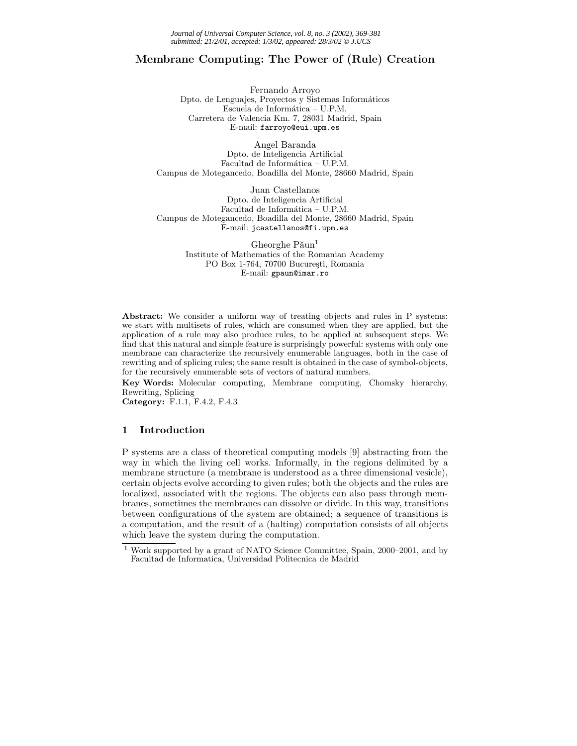# **Membrane Computing: The Power of (Rule) Creation**

Fernando Arroyo Dpto. de Lenguajes, Proyectos y Sistemas Informáticos Escuela de Informática – U.P.M. Carretera de Valencia Km. 7, 28031 Madrid, Spain E-mail: farroyo@eui.upm.es

Angel Baranda Dpto. de Inteligencia Artificial Facultad de Informática – U.P.M. Campus de Motegancedo, Boadilla del Monte, 28660 Madrid, Spain

Juan Castellanos Dpto. de Inteligencia Artificial Facultad de Informática - U.P.M. Campus de Motegancedo, Boadilla del Monte, 28660 Madrid, Spain E-mail: jcastellanos@fi.upm.es

> Gheorghe  $P$  $\text{ăun}^1$ Institute of Mathematics of the Romanian Academy PO Box 1-764, 70700 București, Romania E-mail: gpaun@imar.ro

**Abstract:** We consider a uniform way of treating objects and rules in P systems: we start with multisets of rules, which are consumed when they are applied, but the application of a rule may also produce rules, to be applied at subsequent steps. We find that this natural and simple feature is surprisingly powerful: systems with only one membrane can characterize the recursively enumerable languages, both in the case of rewriting and of splicing rules; the same result is obtained in the case of symbol-objects, for the recursively enumerable sets of vectors of natural numbers.

**Key Words:** Molecular computing, Membrane computing, Chomsky hierarchy, Rewriting, Splicing

**Category:** F.1.1, F.4.2, F.4.3

# **1 Introduction**

P systems are a class of theoretical computing models [9] abstracting from the way in which the living cell works. Informally, in the regions delimited by a membrane structure (a membrane is understood as a three dimensional vesicle), certain objects evolve according to given rules; both the objects and the rules are localized, associated with the regions. The objects can also pass through membranes, sometimes the membranes can dissolve or divide. In this way, transitions between configurations of the system are obtained; a sequence of transitions is a computation, and the result of a (halting) computation consists of all objects which leave the system during the computation.

<sup>1</sup> Work supported by a grant of NATO Science Committee, Spain, 2000–2001, and by Facultad de Informatica, Universidad Politecnica de Madrid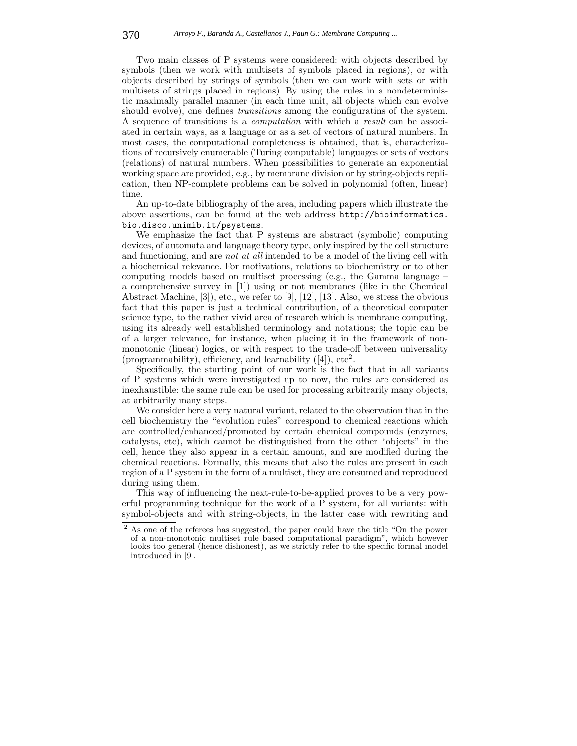Two main classes of P systems were considered: with objects described by symbols (then we work with multisets of symbols placed in regions), or with objects described by strings of symbols (then we can work with sets or with multisets of strings placed in regions). By using the rules in a nondeterministic maximally parallel manner (in each time unit, all objects which can evolve should evolve), one defines *transitions* among the configuratins of the system. A sequence of transitions is a *computation* with which a *result* can be associated in certain ways, as a language or as a set of vectors of natural numbers. In most cases, the computational completeness is obtained, that is, characterizations of recursively enumerable (Turing computable) languages or sets of vectors (relations) of natural numbers. When posssibilities to generate an exponential working space are provided, e.g., by membrane division or by string-objects replication, then NP-complete problems can be solved in polynomial (often, linear) time.

An up-to-date bibliography of the area, including papers which illustrate the above assertions, can be found at the web address http://bioinformatics. bio.disco.unimib.it/psystems.

We emphasize the fact that P systems are abstract (symbolic) computing devices, of automata and language theory type, only inspired by the cell structure and functioning, and are *not at all* intended to be a model of the living cell with a biochemical relevance. For motivations, relations to biochemistry or to other computing models based on multiset processing (e.g., the Gamma language – a comprehensive survey in [1]) using or not membranes (like in the Chemical Abstract Machine, [3]), etc., we refer to [9], [12], [13]. Also, we stress the obvious fact that this paper is just a technical contribution, of a theoretical computer science type, to the rather vivid area of research which is membrane computing, using its already well established terminology and notations; the topic can be of a larger relevance, for instance, when placing it in the framework of nonmonotonic (linear) logics, or with respect to the trade-off between universality (programmability), efficiency, and learnability  $([4])$ , etc<sup>2</sup>.

Specifically, the starting point of our work is the fact that in all variants of P systems which were investigated up to now, the rules are considered as inexhaustible: the same rule can be used for processing arbitrarily many objects, at arbitrarily many steps.

We consider here a very natural variant, related to the observation that in the cell biochemistry the "evolution rules" correspond to chemical reactions which are controlled/enhanced/promoted by certain chemical compounds (enzymes, catalysts, etc), which cannot be distinguished from the other "objects" in the cell, hence they also appear in a certain amount, and are modified during the chemical reactions. Formally, this means that also the rules are present in each region of a P system in the form of a multiset, they are consumed and reproduced during using them.

This way of influencing the next-rule-to-be-applied proves to be a very powerful programming technique for the work of a P system, for all variants: with symbol-objects and with string-objects, in the latter case with rewriting and

<sup>2</sup> As one of the referees has suggested, the paper could have the title "On the power of a non-monotonic multiset rule based computational paradigm", which however looks too general (hence dishonest), as we strictly refer to the specific formal model introduced in [9].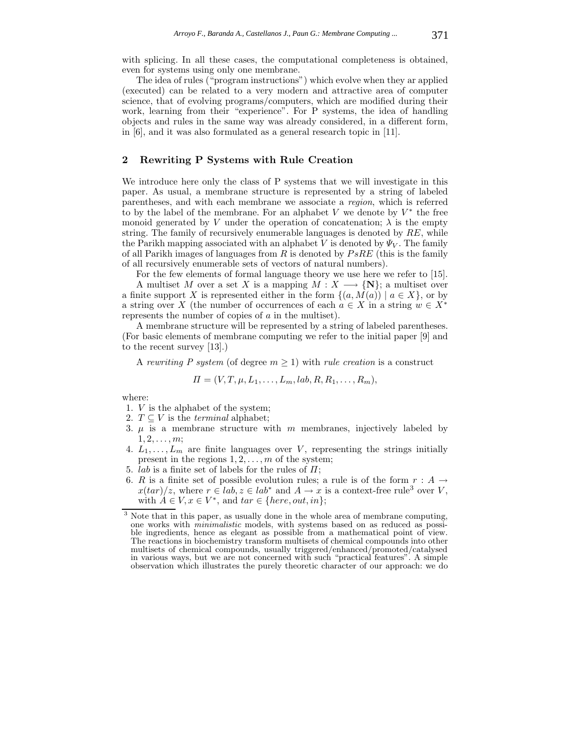with splicing. In all these cases, the computational completeness is obtained, even for systems using only one membrane.

The idea of rules ("program instructions") which evolve when they ar applied (executed) can be related to a very modern and attractive area of computer science, that of evolving programs/computers, which are modified during their work, learning from their "experience". For P systems, the idea of handling objects and rules in the same way was already considered, in a different form, in [6], and it was also formulated as a general research topic in [11].

## **2 Rewriting P Systems with Rule Creation**

We introduce here only the class of P systems that we will investigate in this paper. As usual, a membrane structure is represented by a string of labeled parentheses, and with each membrane we associate a *region*, which is referred to by the label of the membrane. For an alphabet V we denote by  $V^*$  the free monoid generated by V under the operation of concatenation;  $\lambda$  is the empty string. The family of recursively enumerable languages is denoted by RE, while the Parikh mapping associated with an alphabet V is denoted by  $\Psi_V$ . The family of all Parikh images of languages from  $R$  is denoted by  $PsRE$  (this is the family of all recursively enumerable sets of vectors of natural numbers).

For the few elements of formal language theory we use here we refer to [15]. A multiset M over a set X is a mapping  $M : X \longrightarrow \{N\}$ ; a multiset over a finite support X is represented either in the form  $\{(a, M(a)) \mid a \in X\}$ , or by a string over X (the number of occurrences of each  $a \in X$  in a string  $w \in X^*$ represents the number of copies of a in the multiset).

A membrane structure will be represented by a string of labeled parentheses. (For basic elements of membrane computing we refer to the initial paper [9] and to the recent survey [13].)

A *rewriting* P system (of degree  $m \geq 1$ ) with *rule creation* is a construct

$$
\Pi=(V,T,\mu,L_1,\ldots,L_m,lab,R,R_1,\ldots,R_m),
$$

where:

- 1. V is the alphabet of the system;
- 2.  $T \subseteq V$  is the *terminal* alphabet;
- 3.  $\mu$  is a membrane structure with m membranes, injectively labeled by  $1, 2, \ldots, m;$
- 4.  $L_1, \ldots, L_m$  are finite languages over V, representing the strings initially present in the regions  $1, 2, \ldots, m$  of the system;
- 5. *lab* is a finite set of labels for the rules of  $\Pi$ ;
- 6. R is a finite set of possible evolution rules; a rule is of the form  $r : A \rightarrow$  $x(tar)/z$ , where  $r \in lab$ ,  $z \in lab^*$  and  $A \to x$  is a context-free rule<sup>3</sup> over V, with  $A \in V$ ,  $x \in V^*$ , and  $tar \in \{here, out, in\};$

<sup>&</sup>lt;sup>3</sup> Note that in this paper, as usually done in the whole area of membrane computing, one works with *minimalistic* models, with systems based on as reduced as possible ingredients, hence as elegant as possible from a mathematical point of view. The reactions in biochemistry transform multisets of chemical compounds into other multisets of chemical compounds, usually triggered/enhanced/promoted/catalysed in various ways, but we are not concerned with such "practical features". A simple observation which illustrates the purely theoretic character of our approach: we do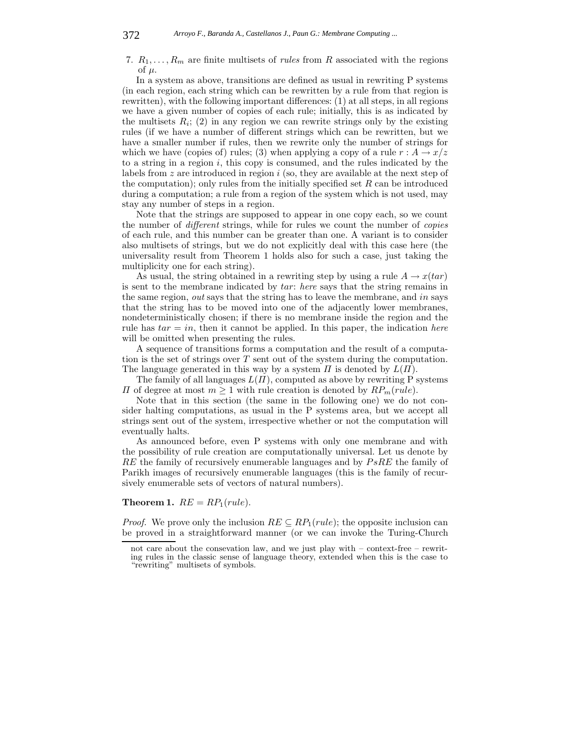7.  $R_1, \ldots, R_m$  are finite multisets of *rules* from R associated with the regions of  $\mu$ .

In a system as above, transitions are defined as usual in rewriting P systems (in each region, each string which can be rewritten by a rule from that region is rewritten), with the following important differences: (1) at all steps, in all regions we have a given number of copies of each rule; initially, this is as indicated by the multisets  $R_i$ ; (2) in any region we can rewrite strings only by the existing rules (if we have a number of different strings which can be rewritten, but we have a smaller number if rules, then we rewrite only the number of strings for which we have (copies of) rules; (3) when applying a copy of a rule  $r : A \rightarrow x/z$ to a string in a region  $i$ , this copy is consumed, and the rules indicated by the labels from  $z$  are introduced in region  $i$  (so, they are available at the next step of the computation); only rules from the initially specified set  $R$  can be introduced during a computation; a rule from a region of the system which is not used, may stay any number of steps in a region.

Note that the strings are supposed to appear in one copy each, so we count the number of *different* strings, while for rules we count the number of *copies* of each rule, and this number can be greater than one. A variant is to consider also multisets of strings, but we do not explicitly deal with this case here (the universality result from Theorem 1 holds also for such a case, just taking the multiplicity one for each string).

As usual, the string obtained in a rewriting step by using a rule  $A \rightarrow x(tar)$ is sent to the membrane indicated by tar: *here* says that the string remains in the same region, *out* says that the string has to leave the membrane, and in says that the string has to be moved into one of the adjacently lower membranes, nondeterministically chosen; if there is no membrane inside the region and the rule has  $tar = in$ , then it cannot be applied. In this paper, the indication *here* will be omitted when presenting the rules.

A sequence of transitions forms a computation and the result of a computation is the set of strings over  $T$  sent out of the system during the computation. The language generated in this way by a system  $\Pi$  is denoted by  $L(\Pi)$ .

The family of all languages  $L(\Pi)$ , computed as above by rewriting P systems  $\Pi$  of degree at most  $m \geq 1$  with rule creation is denoted by  $RP_m(rule)$ .

Note that in this section (the same in the following one) we do not consider halting computations, as usual in the P systems area, but we accept all strings sent out of the system, irrespective whether or not the computation will eventually halts.

As announced before, even P systems with only one membrane and with the possibility of rule creation are computationally universal. Let us denote by  $RE$  the family of recursively enumerable languages and by  $PsRE$  the family of Parikh images of recursively enumerable languages (this is the family of recursively enumerable sets of vectors of natural numbers).

**Theorem 1.**  $RE = RP_1(rule)$ .

*Proof.* We prove only the inclusion  $RE \subseteq RP_1(rule)$ ; the opposite inclusion can be proved in a straightforward manner (or we can invoke the Turing-Church

not care about the consevation law, and we just play with  $-$  context-free  $-$  rewriting rules in the classic sense of language theory, extended when this is the case to "rewriting" multisets of symbols.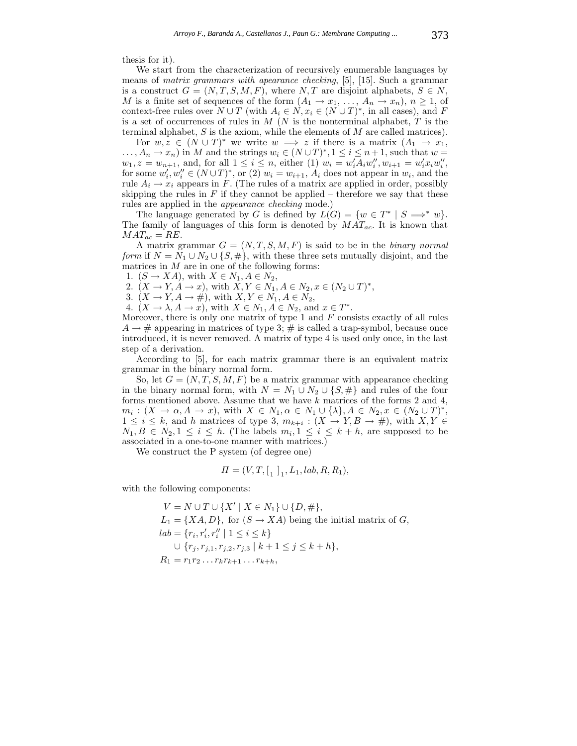thesis for it).

We start from the characterization of recursively enumerable languages by means of *matrix grammars with apearance checking*, [5], [15]. Such a grammar is a construct  $G = (N, T, S, M, F)$ , where  $N, T$  are disjoint alphabets,  $S \in N$ , M is a finite set of sequences of the form  $(A_1 \rightarrow x_1, \ldots, A_n \rightarrow x_n), n \geq 1$ , of context-free rules over  $N \cup T$  (with  $A_i \in N$ ,  $x_i \in (N \cup T)^*$ , in all cases), and F is a set of occurrences of rules in  $M$  (N is the nonterminal alphabet,  $T$  is the terminal alphabet,  $S$  is the axiom, while the elements of  $M$  are called matrices).

For  $w, z \in (N \cup T)^*$  we write  $w \implies z$  if there is a matrix  $(A_1 \rightarrow x_1,$  $\dots, A_n \to x_n$  in M and the strings  $w_i \in (N \cup T)^*$ ,  $1 \le i \le n+1$ , such that  $w =$  $w_1, z = w_{n+1}$ , and, for all  $1 \leq i \leq n$ , either (1)  $w_i = w'_i A_i w''_i, w_{i+1} = w'_i x_i w''_i$ , for some  $w'_i, w''_i \in (N \cup T)^*$ , or (2)  $w_i = w_{i+1}, A_i$  does not appear in  $w_i$ , and the rule  $A_i \to x_i$  appears in F. (The rules of a matrix are applied in order, possibly skipping the rules in  $F$  if they cannot be applied – therefore we say that these rules are applied in the *appearance checking* mode.)

The language generated by G is defined by  $L(G) = \{w \in T^* \mid S \implies^* w\}.$ The family of languages of this form is denoted by MAT*ac*. It is known that  $MAT_{ac} = RE.$ 

A matrix grammar  $G = (N, T, S, M, F)$  is said to be in the *binary normal form* if  $N = N_1 \cup N_2 \cup \{S, \#\}$ , with these three sets mutually disjoint, and the matrices in  $M$  are in one of the following forms:

1.  $(S \to XA)$ , with  $X \in N_1, A \in N_2$ ,

2.  $(X \to Y, A \to x)$ , with  $X, Y \in N_1, A \in N_2, x \in (N_2 \cup T)^*$ ,

3.  $(X \to Y, A \to \#),$  with  $X, Y \in N_1, A \in N_2$ ,

4.  $(X \to \lambda, A \to x)$ , with  $X \in N_1, A \in N_2$ , and  $x \in T^*$ .

Moreover, there is only one matrix of type 1 and  $F$  consists exactly of all rules  $A \rightarrow \#$  appearing in matrices of type 3;  $\#$  is called a trap-symbol, because once introduced, it is never removed. A matrix of type 4 is used only once, in the last step of a derivation.

According to [5], for each matrix grammar there is an equivalent matrix grammar in the binary normal form.

So, let  $G = (N, T, S, M, F)$  be a matrix grammar with appearance checking in the binary normal form, with  $N = N_1 \cup N_2 \cup \{S, \#\}\$  and rules of the four forms mentioned above. Assume that we have  $k$  matrices of the forms 2 and 4,  $m_i : (X \to \alpha, A \to x)$ , with  $X \in N_1, \alpha \in N_1 \cup {\{\lambda\}}, A \in N_2, x \in (N_2 \cup T)^*$ ,  $1 \leq i \leq k$ , and h matrices of type 3,  $m_{k+i} : (X \rightarrow Y, B \rightarrow \#)$ , with  $X, Y \in$  $N_1, B \in N_2, 1 \leq i \leq h$ . (The labels  $m_i, 1 \leq i \leq k+h$ , are supposed to be associated in a one-to-one manner with matrices.)

We construct the P system (of degree one)

$$
\Pi = (V, T, [1]_1, L_1, lab, R, R_1),
$$

with the following components:

$$
V = N \cup T \cup \{X' \mid X \in N_1\} \cup \{D, \# \},
$$
  
\n
$$
L_1 = \{XA, D\}, \text{ for } (S \to XA) \text{ being the initial matrix of } G,
$$
  
\n
$$
lab = \{r_i, r'_i, r''_i \mid 1 \le i \le k\}
$$
  
\n
$$
\cup \{r_j, r_{j,1}, r_{j,2}, r_{j,3} \mid k+1 \le j \le k+h\},
$$
  
\n
$$
R_1 = r_1 r_2 \dots r_k r_{k+1} \dots r_{k+h},
$$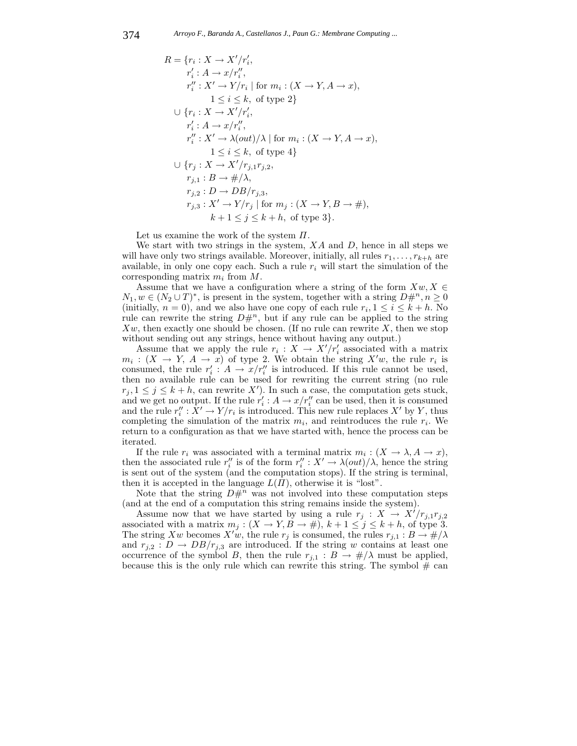$$
R = \{r_i : X \to X'/r'_i,
$$
  
\n
$$
r'_i : A \to x/r''_i,
$$
  
\n
$$
r''_i : X' \to Y/r_i \mid \text{for } m_i : (X \to Y, A \to x),
$$
  
\n
$$
1 \leq i \leq k, \text{ of type 2}\}
$$
  
\n
$$
\cup \{r_i : X \to X'/r'_i,
$$
  
\n
$$
r'_i : A \to x/r''_i,
$$
  
\n
$$
r''_i : X' \to \lambda(out)/\lambda \mid \text{for } m_i : (X \to Y, A \to x),
$$
  
\n
$$
1 \leq i \leq k, \text{ of type 4}\}
$$
  
\n
$$
\cup \{r_j : X \to X'/r_{j,1}r_{j,2},
$$
  
\n
$$
r_{j,1} : B \to \#/\lambda,
$$
  
\n
$$
r_{j,2} : D \to DB/r_{j,3},
$$
  
\n
$$
r_{j,3} : X' \to Y/r_j \mid \text{for } m_j : (X \to Y, B \to \#),
$$
  
\n
$$
k + 1 \leq j \leq k + h, \text{ of type 3}\}.
$$

Let us examine the work of the system  $\Pi$ .

We start with two strings in the system,  $XA$  and  $D$ , hence in all steps we will have only two strings available. Moreover, initially, all rules  $r_1, \ldots, r_{k+h}$  are available, in only one copy each. Such a rule  $r_i$  will start the simulation of the corresponding matrix m*<sup>i</sup>* from M.

Assume that we have a configuration where a string of the form  $Xw, X \in$  $N_1, w \in (N_2 \cup T)^*$ , is present in the system, together with a string  $D\#^n, n \geq 0$ (initially,  $n = 0$ ), and we also have one copy of each rule  $r_i$ ,  $1 \leq i \leq k + h$ . No rule can rewrite the string  $D#^n$ , but if any rule can be applied to the string  $Xw$ , then exactly one should be chosen. (If no rule can rewrite  $X$ , then we stop without sending out any strings, hence without having any output.)

Assume that we apply the rule  $r_i : X \to X'/r'_i$  associated with a matrix  $m_i: (X \to Y, A \to x)$  of type 2. We obtain the string  $X'w$ , the rule  $r_i$  is consumed, the rule  $r'_i : A \to x/r''_i$  is introduced. If this rule cannot be used, then no available rule can be used for rewriting the current string (no rule  $r_j, 1 \leq j \leq k+h$ , can rewrite X'). In such a case, the computation gets stuck, and we get no output. If the rule  $r_i' : A \to x/r_i''$  can be used, then it is consumed and the rule  $r''_i : X' \to Y/r_i$  is introduced. This new rule replaces X' by Y, thus completing the simulation of the matrix  $m_i$ , and reintroduces the rule  $r_i$ . We return to a configuration as that we have started with, hence the process can be iterated.

If the rule  $r_i$  was associated with a terminal matrix  $m_i : (X \to \lambda, A \to x)$ , then the associated rule  $r''_i$  is of the form  $r''_i : X' \to \lambda(out)/\lambda$ , hence the string is sent out of the system (and the computation stops). If the string is terminal, then it is accepted in the language  $L(\Pi)$ , otherwise it is "lost".

Note that the string  $D\#^n$  was not involved into these computation steps (and at the end of a computation this string remains inside the system).

Assume now that we have started by using a rule  $r_j : X \to X'/r_{j,1}r_{j,2}$ associated with a matrix  $m_j : (X \to Y, B \to \#), k+1 \leq j \leq k+h$ , of type 3. The string  $Xw$  becomes  $X'w$ , the rule  $r_j$  is consumed, the rules  $r_{j,1}: B \to \#/\lambda$ and  $r_{j,2}: D \to DB/r_{j,3}$  are introduced. If the string w contains at least one occurrence of the symbol B, then the rule  $r_{j,1} : B \to \#/\lambda$  must be applied, because this is the only rule which can rewrite this string. The symbol  $\#$  can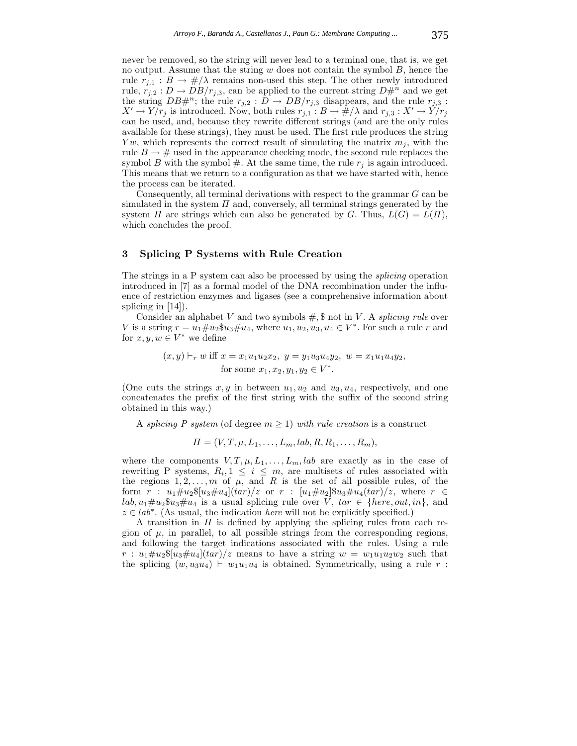never be removed, so the string will never lead to a terminal one, that is, we get no output. Assume that the string  $w$  does not contain the symbol  $B$ , hence the rule  $r_{j,1}: B \to \#/\lambda$  remains non-used this step. The other newly introduced rule,  $r_{j,2}: D \to DB/r_{j,3}$ , can be applied to the current string  $D\#^n$  and we get the string  $DB\#^n$ ; the rule  $r_{j,2}: D \to DB/r_{j,3}$  disappears, and the rule  $r_{j,3}:$  $X' \to Y / r_j$  is introduced. Now, both rules  $r_{j,1} : B \to \#/\lambda$  and  $r_{j,3} : X' \to Y / r_j$ can be used, and, because they rewrite different strings (and are the only rules available for these strings), they must be used. The first rule produces the string Yw, which represents the correct result of simulating the matrix  $m_j$ , with the rule  $B \to \#$  used in the appearance checking mode, the second rule replaces the symbol B with the symbol  $#$ . At the same time, the rule  $r_i$  is again introduced. This means that we return to a configuration as that we have started with, hence the process can be iterated.

Consequently, all terminal derivations with respect to the grammar  $G$  can be simulated in the system  $\Pi$  and, conversely, all terminal strings generated by the system  $\Pi$  are strings which can also be generated by G. Thus,  $L(G) = L(\Pi)$ , which concludes the proof.

# **3 Splicing P Systems with Rule Creation**

The strings in a P system can also be processed by using the *splicing* operation introduced in [7] as a formal model of the DNA recombination under the influence of restriction enzymes and ligases (see a comprehensive information about splicing in [14]).

Consider an alphabet V and two symbols  $\#$ ,  $\$$  not in V. A *splicing rule* over V is a string  $r = u_1 \# u_2 \$ u<sub>3</sub> $\# u_4$ , where  $u_1, u_2, u_3, u_4 \in V^*$ . For such a rule r and for  $x, y, w \in V^*$  we define

> $(x, y) \vdash_r w$  iff  $x = x_1u_1u_2x_2$ ,  $y = y_1u_3u_4y_2$ ,  $w = x_1u_1u_4y_2$ , for some  $x_1, x_2, y_1, y_2 \in V^*$ .

(One cuts the strings  $x, y$  in between  $u_1, u_2$  and  $u_3, u_4$ , respectively, and one concatenates the prefix of the first string with the suffix of the second string obtained in this way.)

A *splicing* P *system* (of degree  $m \geq 1$ ) *with rule creation* is a construct

 $\Pi = (V, T, \mu, L_1, \ldots, L_m, lab, R, R_1, \ldots, R_m),$ 

where the components  $V, T, \mu, L_1, \ldots, L_m, lab$  are exactly as in the case of rewriting P systems,  $R_i, 1 \leq i \leq m$ , are multisets of rules associated with the regions  $1, 2, \ldots, m$  of  $\mu$ , and R is the set of all possible rules, of the form  $r : u_1 \# u_2 \$(u_3 \# u_4](tar)/z \text{ or } r : [u_1 \# u_2] \$(u_3 \# u_4(tar)/z, \text{ where } r \in$  $lab, u_1 \# u_2 \$\overline{u_3} \# u_4$  is a usual splicing rule over  $V$ ,  $tar \in \{here, out, in\}$ , and z ∈ lab∗. (As usual, the indication *here* will not be explicitly specified.)

A transition in  $\Pi$  is defined by applying the splicing rules from each region of  $\mu$ , in parallel, to all possible strings from the corresponding regions, and following the target indications associated with the rules. Using a rule  $r: u_1 \# u_2 \$ [ $u_3 \# u_4$ ] $(tar)/z$  means to have a string  $w = w_1 u_1 u_2 w_2$  such that the splicing  $(w, u_3u_4) \vdash w_1u_1u_4$  is obtained. Symmetrically, using a rule r: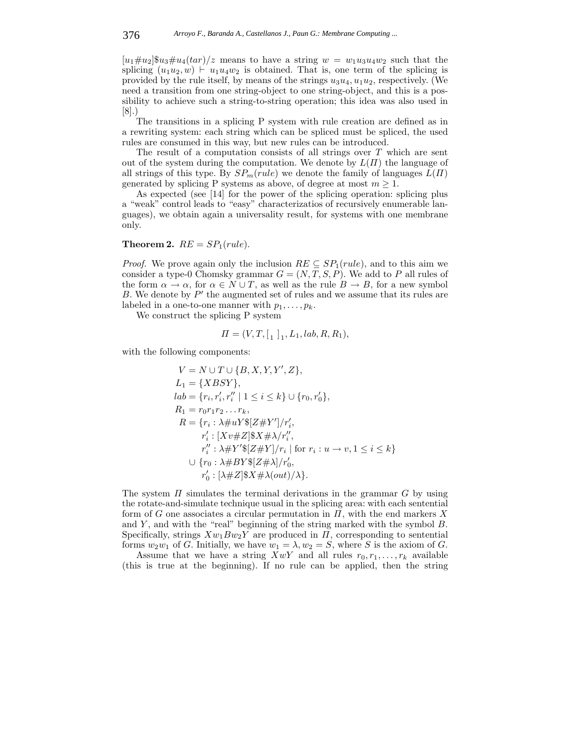$[u_1\#u_2]$  $\mathscr{S}u_3\#u_4(tar)/z$  means to have a string  $w = w_1u_3u_4w_2$  such that the splicing  $(u_1u_2, w) \vdash u_1u_4w_2$  is obtained. That is, one term of the splicing is provided by the rule itself, by means of the strings  $u_3u_4, u_1u_2$ , respectively. (We need a transition from one string-object to one string-object, and this is a possibility to achieve such a string-to-string operation; this idea was also used in [8].)

The transitions in a splicing P system with rule creation are defined as in a rewriting system: each string which can be spliced must be spliced, the used rules are consumed in this way, but new rules can be introduced.

The result of a computation consists of all strings over T which are sent out of the system during the computation. We denote by  $L(\Pi)$  the language of all strings of this type. By  $SP_m(rule)$  we denote the family of languages  $L(\Pi)$ generated by splicing P systems as above, of degree at most  $m \geq 1$ .

As expected (see [14] for the power of the splicing operation: splicing plus a "weak" control leads to "easy" characterizatios of recursively enumerable languages), we obtain again a universality result, for systems with one membrane only.

**Theorem 2.**  $RE = SP<sub>1</sub>(rule).$ 

*Proof.* We prove again only the inclusion  $RE \subseteq SP_1(rule)$ , and to this aim we consider a type-0 Chomsky grammar  $G = (N, T, S, P)$ . We add to P all rules of the form  $\alpha \to \alpha$ , for  $\alpha \in N \cup T$ , as well as the rule  $B \to B$ , for a new symbol  $B$ . We denote by  $P'$  the augmented set of rules and we assume that its rules are labeled in a one-to-one manner with  $p_1, \ldots, p_k$ .

We construct the splicing P system

$$
\Pi = (V, T, \lbrack_1 \rbrack_1, L_1, lab, R, R_1),
$$

with the following components:

$$
V = N \cup T \cup \{B, X, Y, Y', Z\},
$$
  
\n
$$
L_1 = \{XBSY\},
$$
  
\n
$$
lab = \{r_i, r'_i, r''_i \mid 1 \le i \le k\} \cup \{r_0, r'_0\},
$$
  
\n
$$
R_1 = r_0r_1r_2...r_k,
$$
  
\n
$$
R = \{r_i : \lambda \# uY\{\mathbb{Z} \neq Y'\}/r'_i,
$$
  
\n
$$
r'_i : [Xv \# Z]\$X \# \lambda/r''_i,
$$
  
\n
$$
r''_i : \lambda \# Y'\{\mathbb{Z} \neq Y\}/r_i \mid \text{for } r_i : u \to v, 1 \le i \le k\}
$$
  
\n
$$
\cup \{r_0 : \lambda \# BY\{\mathbb{Z} \neq \lambda\}/r'_0,
$$
  
\n
$$
r'_0 : [\lambda \# Z]\$X \neq \lambda(out)/\lambda\}.
$$

The system  $\Pi$  simulates the terminal derivations in the grammar  $G$  by using the rotate-and-simulate technique usual in the splicing area: with each sentential form of G one associates a circular permutation in  $\Pi$ , with the end markers X and  $Y$ , and with the "real" beginning of the string marked with the symbol  $B$ . Specifically, strings  $Xw_1Bw_2Y$  are produced in  $\Pi$ , corresponding to sentential forms  $w_2w_1$  of G. Initially, we have  $w_1 = \lambda, w_2 = S$ , where S is the axiom of G.

Assume that we have a string  $XwY$  and all rules  $r_0, r_1, \ldots, r_k$  available (this is true at the beginning). If no rule can be applied, then the string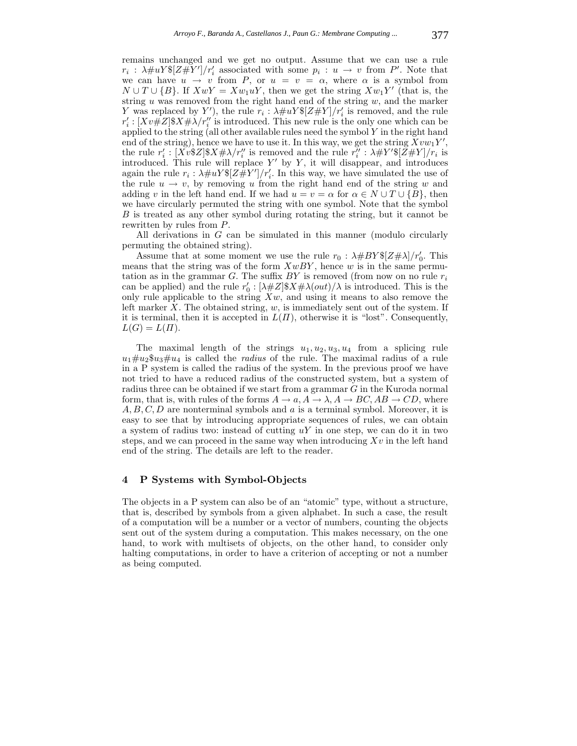remains unchanged and we get no output. Assume that we can use a rule  $r_i$ :  $\lambda \# uY \$ [ $Z \# Y'$ ]/ $r'_i$  associated with some  $p_i : u \to v$  from P'. Note that we can have  $u \to v$  from P, or  $u = v = \alpha$ , where  $\alpha$  is a symbol from  $N \cup T \cup \{B\}$ . If  $XwY = Xw_1uY$ , then we get the string  $Xw_1Y'$  (that is, the string u was removed from the right hand end of the string  $w$ , and the marker Y was replaced by Y'), the rule  $r_i$ :  $\lambda \# uY \$ [ $Z \# Y$ ]/ $r'_i$  is removed, and the rule  $r'_i : [Xv#Z]$ \$ $X# \lambda / r''_i$  is introduced. This new rule is the only one which can be applied to the string (all other available rules need the symbol  $Y$  in the right hand end of the string), hence we have to use it. In this way, we get the string  $Xvw_1Y'$ , the rule  $r_i' : [Xv$Z]$ \$ $X \# \lambda / r_i''$  is removed and the rule  $r_i'' : \lambda \# Y'$ \$ $[Z \# Y] / r_i$  is introduced. This rule will replace  $Y'$  by  $Y$ , it will disappear, and introduces again the rule  $r_i$ :  $\lambda \# uY \$ [ $Z \# Y'$ ]/ $r'_i$ . In this way, we have simulated the use of the rule  $u \to v$ , by removing u from the right hand end of the string w and adding v in the left hand end. If we had  $u = v = \alpha$  for  $\alpha \in N \cup T \cup \{B\}$ , then we have circularly permuted the string with one symbol. Note that the symbol B is treated as any other symbol during rotating the string, but it cannot be rewritten by rules from P.

All derivations in G can be simulated in this manner (modulo circularly permuting the obtained string).

Assume that at some moment we use the rule  $r_0$  :  $\lambda \# BY \$ [ $Z \# \lambda$ ]/ $r'_0$ . This means that the string was of the form  $XwBY$ , hence w is in the same permutation as in the grammar  $G$ . The suffix  $BY$  is removed (from now on no rule  $r_i$ ) can be applied) and the rule  $r'_0$ :  $[\lambda \# Z]$ \$ $X \# \lambda(out)/\lambda$  is introduced. This is the only rule applicable to the string  $Xw$ , and using it means to also remove the left marker X. The obtained string,  $w$ , is immediately sent out of the system. If it is terminal, then it is accepted in  $L(\Pi)$ , otherwise it is "lost". Consequently,  $L(G) = L(\Pi).$ 

The maximal length of the strings  $u_1, u_2, u_3, u_4$  from a splicing rule  $u_1 \# u_2 \$  $u_3 \# u_4$  is called the *radius* of the rule. The maximal radius of a rule in a P system is called the radius of the system. In the previous proof we have not tried to have a reduced radius of the constructed system, but a system of radius three can be obtained if we start from a grammar G in the Kuroda normal form, that is, with rules of the forms  $A \to a$ ,  $A \to \lambda$ ,  $A \to BC$ ,  $AB \to CD$ , where  $A, B, C, D$  are nonterminal symbols and a is a terminal symbol. Moreover, it is easy to see that by introducing appropriate sequences of rules, we can obtain a system of radius two: instead of cutting  $uY$  in one step, we can do it in two steps, and we can proceed in the same way when introducing  $Xv$  in the left hand end of the string. The details are left to the reader.

#### **4 P Systems with Symbol-Objects**

The objects in a P system can also be of an "atomic" type, without a structure, that is, described by symbols from a given alphabet. In such a case, the result of a computation will be a number or a vector of numbers, counting the objects sent out of the system during a computation. This makes necessary, on the one hand, to work with multisets of objects, on the other hand, to consider only halting computations, in order to have a criterion of accepting or not a number as being computed.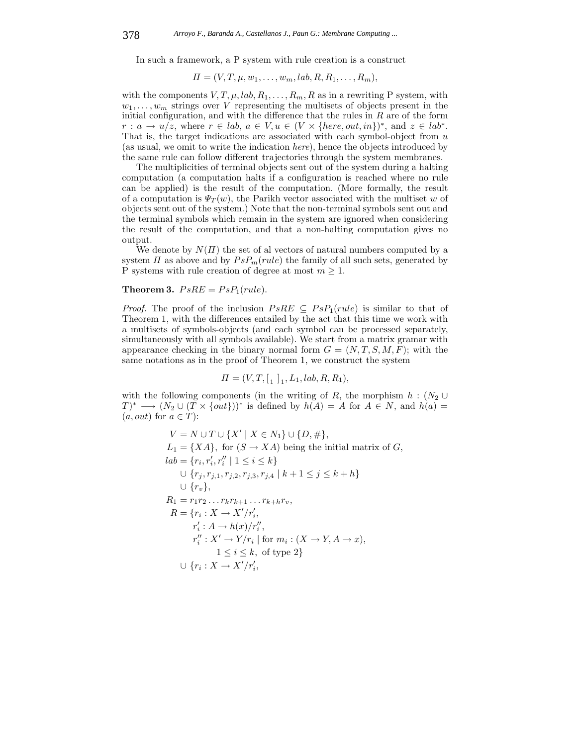In such a framework, a P system with rule creation is a construct

$$
\Pi=(V,T,\mu,w_1,\ldots,w_m,lab,R,R_1,\ldots,R_m),
$$

with the components  $V, T, \mu, lab, R_1, \ldots, R_m, R$  as in a rewriting P system, with  $w_1, \ldots, w_m$  strings over V representing the multisets of objects present in the initial configuration, and with the difference that the rules in  $R$  are of the form  $r: a \to u/z$ , where  $r \in lab, a \in V, u \in (V \times \{here, out, in\})^*$ , and  $z \in lab^*$ . That is, the target indications are associated with each symbol-object from  $u$ (as usual, we omit to write the indication *here*), hence the objects introduced by the same rule can follow different trajectories through the system membranes.

The multiplicities of terminal objects sent out of the system during a halting computation (a computation halts if a configuration is reached where no rule can be applied) is the result of the computation. (More formally, the result of a computation is  $\Psi_T(w)$ , the Parikh vector associated with the multiset w of objects sent out of the system.) Note that the non-terminal symbols sent out and the terminal symbols which remain in the system are ignored when considering the result of the computation, and that a non-halting computation gives no output.

We denote by  $N(\Pi)$  the set of al vectors of natural numbers computed by a system  $\Pi$  as above and by  $PsP_m(rule)$  the family of all such sets, generated by P systems with rule creation of degree at most  $m \geq 1$ .

## **Theorem 3.**  $PsRE = PsP<sub>1</sub>(rule).$

*Proof.* The proof of the inclusion  $PsRE \subseteq PsP_1 (rule)$  is similar to that of Theorem 1, with the differences entailed by the act that this time we work with a multisets of symbols-objects (and each symbol can be processed separately, simultaneously with all symbols available). We start from a matrix gramar with appearance checking in the binary normal form  $G = (N, T, S, M, F)$ ; with the same notations as in the proof of Theorem 1, we construct the system

$$
\Pi = (V, T, [1]_1, L_1, lab, R, R_1),
$$

with the following components (in the writing of R, the morphism  $h : (N_2 \cup$  $(T)^* \longrightarrow (N_2 \cup (T \times \{out\}))^*$  is defined by  $h(A) = A$  for  $A \in N$ , and  $h(a) =$  $(a, out)$  for  $a \in T$ :

$$
V = N \cup T \cup \{X' \mid X \in N_1\} \cup \{D, \# \},
$$
  
\n
$$
L_1 = \{XA\}, \text{ for } (S \to XA) \text{ being the initial matrix of } G,
$$
  
\n
$$
lab = \{r_i, r'_i, r''_i \mid 1 \le i \le k\}
$$
  
\n
$$
\cup \{r_j, r_{j,1}, r_{j,2}, r_{j,3}, r_{j,4} \mid k+1 \le j \le k+h\}
$$
  
\n
$$
\cup \{r_v\},
$$
  
\n
$$
R_1 = r_1 r_2 \dots r_k r_{k+1} \dots r_{k+h} r_v,
$$
  
\n
$$
R = \{r_i : X \to X'/r'_i,
$$
  
\n
$$
r'_i : A \to h(x)/r''_i,
$$
  
\n
$$
r''_i : X' \to Y/r_i \mid \text{for } m_i : (X \to Y, A \to x),
$$
  
\n
$$
1 \le i \le k, \text{ of type 2}\}
$$
  
\n
$$
\cup \{r_i : X \to X'/r'_i,
$$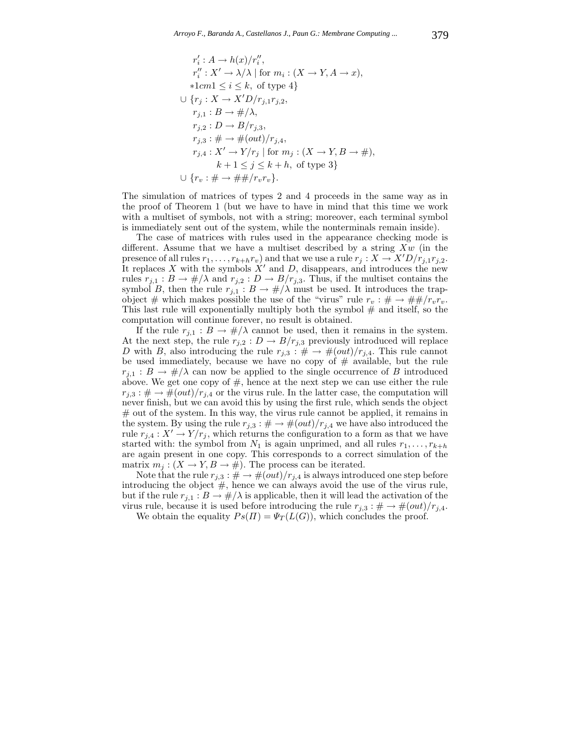$$
r'_i: A \to h(x)/r''_i,
$$
  
\n
$$
r''_i: X' \to \lambda/\lambda \mid \text{for } m_i: (X \to Y, A \to x),
$$
  
\n
$$
*1cm1 \leq i \leq k, \text{ of type 4}
$$
  
\n
$$
\cup \{r_j: X \to X'D/r_{j,1}r_{j,2},
$$
  
\n
$$
r_{j,1}: B \to \#/\lambda,
$$
  
\n
$$
r_{j,2}: D \to B/r_{j,3},
$$
  
\n
$$
r_{j,3}: \# \to \#(out)/r_{j,4},
$$
  
\n
$$
r_{j,4}: X' \to Y/r_j \mid \text{for } m_j: (X \to Y, B \to \#),
$$
  
\n
$$
k+1 \leq j \leq k+h, \text{ of type 3}
$$
  
\n
$$
\cup \{r_v: \# \to \# \#/r_vr_v\}.
$$

The simulation of matrices of types 2 and 4 proceeds in the same way as in the proof of Theorem 1 (but we have to have in mind that this time we work with a multiset of symbols, not with a string; moreover, each terminal symbol is immediately sent out of the system, while the nonterminals remain inside).

The case of matrices with rules used in the appearance checking mode is different. Assume that we have a multiset described by a string  $Xw$  (in the presence of all rules  $r_1, \ldots, r_{k+h}r_v$  and that we use a rule  $r_j: X \to X'D/r_{j,1}r_{j,2}$ . It replaces X with the symbols  $X'$  and D, disappears, and introduces the new rules  $r_{j,1}: B \to \#/\lambda$  and  $r_{j,2}: D \to B/r_{j,3}$ . Thus, if the multiset contains the symbol B, then the rule  $r_{j,1}: B \to \#/\lambda$  must be used. It introduces the trapobject # which makes possible the use of the "virus" rule  $r_v : \# \to \# \# / r_v r_v$ . This last rule will exponentially multiply both the symbol  $#$  and itself, so the computation will continue forever, no result is obtained.

If the rule  $r_{j,1}: B \to \#/\lambda$  cannot be used, then it remains in the system. At the next step, the rule  $r_{j,2}: D \to B/r_{j,3}$  previously introduced will replace D with B, also introducing the rule  $r_{j,3} : # \rightarrow #(out)/r_{j,4}$ . This rule cannot be used immediately, because we have no copy of  $#$  available, but the rule  $r_{i,1}: B \to \#/\lambda$  can now be applied to the single occurrence of B introduced above. We get one copy of  $#$ , hence at the next step we can use either the rule  $r_{j,3}$ :  $\# \rightarrow \# (out)/r_{j,4}$  or the virus rule. In the latter case, the computation will never finish, but we can avoid this by using the first rule, which sends the object # out of the system. In this way, the virus rule cannot be applied, it remains in the system. By using the rule  $r_{j,3}$ :  $\# \to \#(out)/r_{j,4}$  we have also introduced the rule  $r_{j,4}: X' \to Y/r_j$ , which returns the configuration to a form as that we have started with: the symbol from  $N_1$  is again unprimed, and all rules  $r_1, \ldots, r_{k+h}$ are again present in one copy. This corresponds to a correct simulation of the matrix  $m_j$ :  $(X \to Y, B \to \#)$ . The process can be iterated.

Note that the rule  $r_{j,3}$ :  $\# \to \#(out)/r_{j,4}$  is always introduced one step before introducing the object  $#$ , hence we can always avoid the use of the virus rule, but if the rule  $r_{j,1}: B \to \#/\lambda$  is applicable, then it will lead the activation of the virus rule, because it is used before introducing the rule  $r_{i,3}$ :  $\# \rightarrow \#(out)/r_{i,4}$ .

We obtain the equality  $Ps(\Pi) = \Psi_T(L(G))$ , which concludes the proof.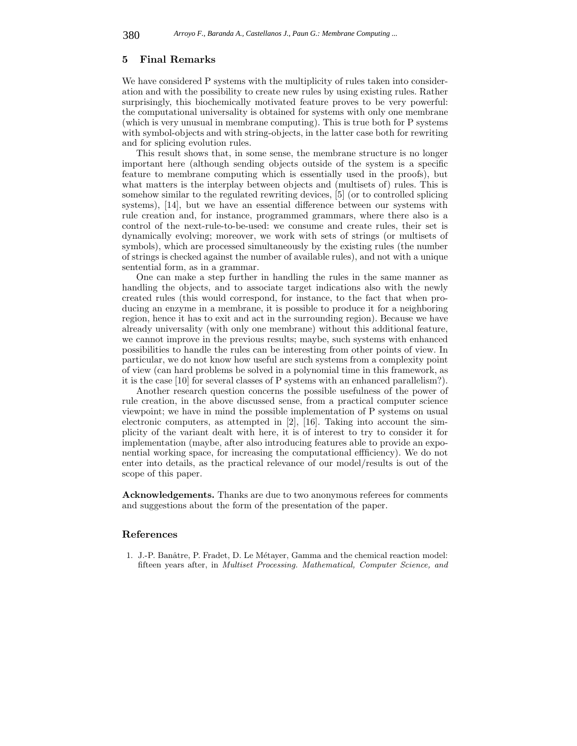#### **5 Final Remarks**

We have considered P systems with the multiplicity of rules taken into consideration and with the possibility to create new rules by using existing rules. Rather surprisingly, this biochemically motivated feature proves to be very powerful: the computational universality is obtained for systems with only one membrane (which is very unusual in membrane computing). This is true both for P systems with symbol-objects and with string-objects, in the latter case both for rewriting and for splicing evolution rules.

This result shows that, in some sense, the membrane structure is no longer important here (although sending objects outside of the system is a specific feature to membrane computing which is essentially used in the proofs), but what matters is the interplay between objects and (multisets of) rules. This is somehow similar to the regulated rewriting devices, [5] (or to controlled splicing systems), [14], but we have an essential difference between our systems with rule creation and, for instance, programmed grammars, where there also is a control of the next-rule-to-be-used: we consume and create rules, their set is dynamically evolving; moreover, we work with sets of strings (or multisets of symbols), which are processed simultaneously by the existing rules (the number of strings is checked against the number of available rules), and not with a unique sentential form, as in a grammar.

One can make a step further in handling the rules in the same manner as handling the objects, and to associate target indications also with the newly created rules (this would correspond, for instance, to the fact that when producing an enzyme in a membrane, it is possible to produce it for a neighboring region, hence it has to exit and act in the surrounding region). Because we have already universality (with only one membrane) without this additional feature, we cannot improve in the previous results; maybe, such systems with enhanced possibilities to handle the rules can be interesting from other points of view. In particular, we do not know how useful are such systems from a complexity point of view (can hard problems be solved in a polynomial time in this framework, as it is the case [10] for several classes of P systems with an enhanced parallelism?).

Another research question concerns the possible usefulness of the power of rule creation, in the above discussed sense, from a practical computer science viewpoint; we have in mind the possible implementation of P systems on usual electronic computers, as attempted in [2], [16]. Taking into account the simplicity of the variant dealt with here, it is of interest to try to consider it for implementation (maybe, after also introducing features able to provide an exponential working space, for increasing the computational effficiency). We do not enter into details, as the practical relevance of our model/results is out of the scope of this paper.

**Acknowledgements.** Thanks are due to two anonymous referees for comments and suggestions about the form of the presentation of the paper.

#### **References**

1. J.-P. Banâtre, P. Fradet, D. Le Métaver, Gamma and the chemical reaction model: fifteen years after, in *Multiset Processing. Mathematical, Computer Science, and*